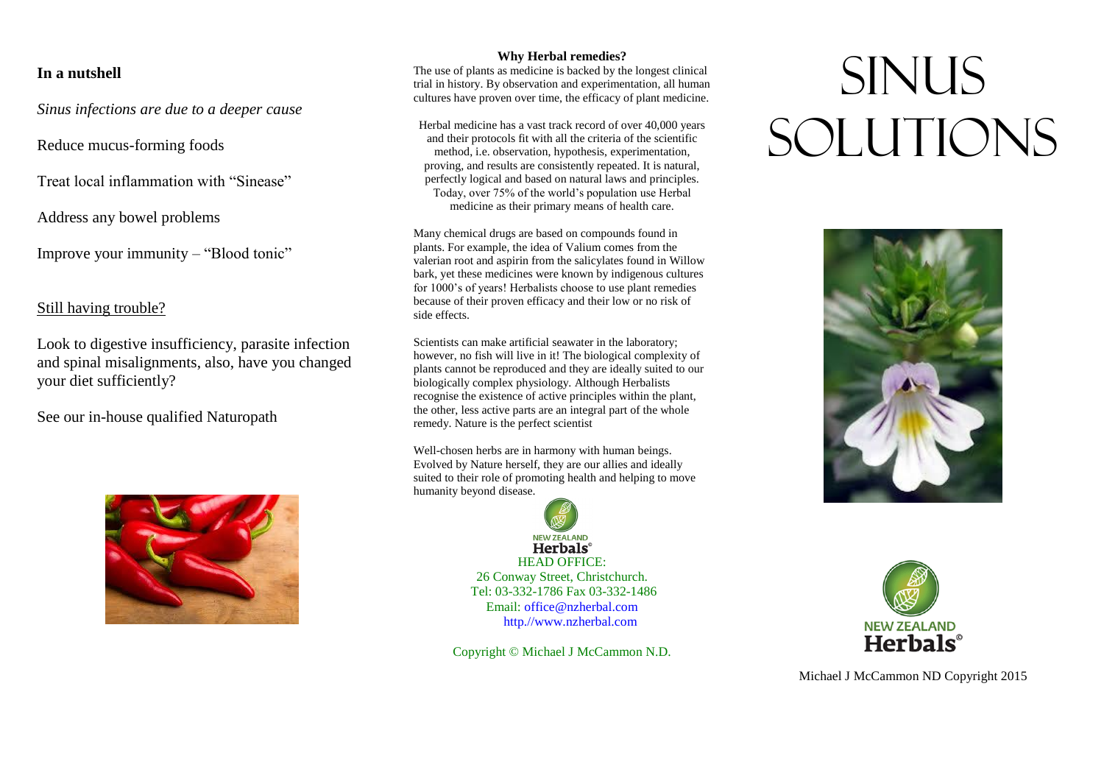### **In a nutshell**

*Sinus infections are due to a deeper cause*

Reduce mucus-forming foods

Treat local inflammation with "Sinease"

Address any bowel problems

Improve your immunity – "Blood tonic"

## Still having trouble?

Look to digestive insufficiency, parasite infection and spinal misalignments, also, have you changed your diet sufficiently?

See our in-house qualified Naturopath



### **Why Herbal remedies?**

The use of plants as medicine is backed by the longest clinical trial in history. By observation and experimentation, all human cultures have proven over time, the efficacy of plant medicine.

Herbal medicine has a vast track record of over 40,000 years and their protocols fit with all the criteria of the scientific method, i.e. observation, hypothesis, experimentation, proving, and results are consistently repeated. It is natural, perfectly logical and based on natural laws and principles. Today, over 75% of the world's population use Herbal medicine as their primary means of health care.

Many chemical drugs are based on compounds found in plants. For example, the idea of Valium comes from the valerian root and aspirin from the salicylates found in Willow bark, yet these medicines were known by indigenous cultures for 1000's of years! Herbalists choose to use plant remedies because of their proven efficacy and their low or no risk of side effects.

Scientists can make artificial seawater in the laboratory; however, no fish will live in it! The biological complexity of plants cannot be reproduced and they are ideally suited to our biologically complex physiology. Although Herbalists recognise the existence of active principles within the plant, the other, less active parts are an integral part of the whole remedy. Nature is the perfect scientist

Well-chosen herbs are in harmony with human beings. Evolved by Nature herself, they are our allies and ideally suited to their role of promoting health and helping to move humanity beyond disease.



HEAD OFFICE: 26 Conway Street, Christchurch. Tel: 03-332-1786 Fax 03-332-1486 Email: office@nzherbal.com

http.//www.nzherbal.com

Copyright © Michael J McCammon N.D.

# **SINUS** Solutions





Michael J McCammon ND Copyright 2015